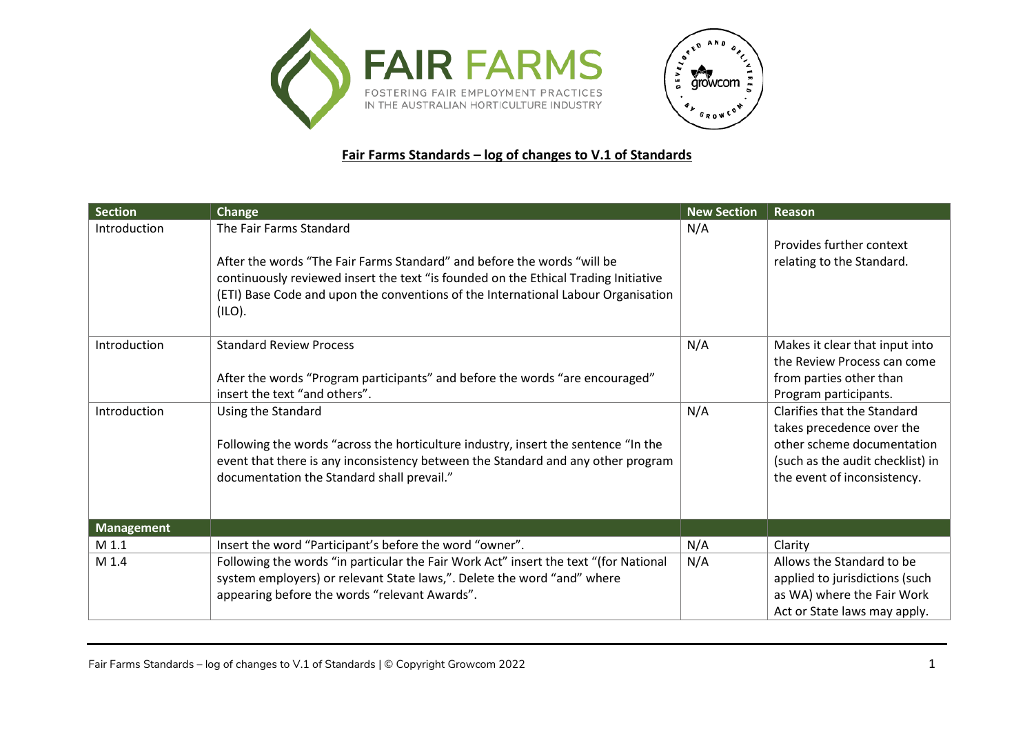



## **Fair Farms Standards – log of changes to V.1 of Standards**

| <b>Section</b>    | <b>Change</b>                                                                                                                                                                                                                                                                            | <b>New Section</b> | Reason                                                                                                                                                           |
|-------------------|------------------------------------------------------------------------------------------------------------------------------------------------------------------------------------------------------------------------------------------------------------------------------------------|--------------------|------------------------------------------------------------------------------------------------------------------------------------------------------------------|
| Introduction      | The Fair Farms Standard<br>After the words "The Fair Farms Standard" and before the words "will be<br>continuously reviewed insert the text "is founded on the Ethical Trading Initiative<br>(ETI) Base Code and upon the conventions of the International Labour Organisation<br>(ILO). | N/A                | Provides further context<br>relating to the Standard.                                                                                                            |
| Introduction      | <b>Standard Review Process</b><br>After the words "Program participants" and before the words "are encouraged"<br>insert the text "and others".                                                                                                                                          | N/A                | Makes it clear that input into<br>the Review Process can come<br>from parties other than<br>Program participants.                                                |
| Introduction      | Using the Standard<br>Following the words "across the horticulture industry, insert the sentence "In the<br>event that there is any inconsistency between the Standard and any other program<br>documentation the Standard shall prevail."                                               | N/A                | <b>Clarifies that the Standard</b><br>takes precedence over the<br>other scheme documentation<br>(such as the audit checklist) in<br>the event of inconsistency. |
| <b>Management</b> |                                                                                                                                                                                                                                                                                          |                    |                                                                                                                                                                  |
| M 1.1             | Insert the word "Participant's before the word "owner".                                                                                                                                                                                                                                  | N/A                | Clarity                                                                                                                                                          |
| M 1.4             | Following the words "in particular the Fair Work Act" insert the text "(for National<br>system employers) or relevant State laws,". Delete the word "and" where<br>appearing before the words "relevant Awards".                                                                         | N/A                | Allows the Standard to be<br>applied to jurisdictions (such<br>as WA) where the Fair Work<br>Act or State laws may apply.                                        |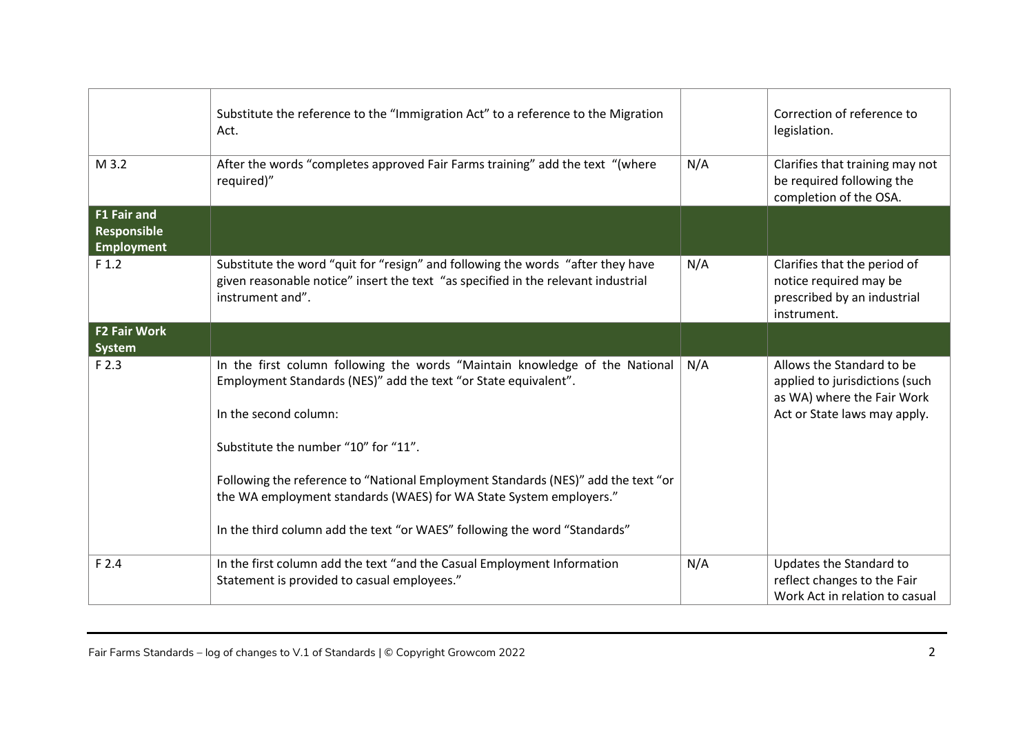|                                                               | Substitute the reference to the "Immigration Act" to a reference to the Migration<br>Act.                                                                                                                                                                                                                                                                                                                                                               |     | Correction of reference to<br>legislation.                                                                                |
|---------------------------------------------------------------|---------------------------------------------------------------------------------------------------------------------------------------------------------------------------------------------------------------------------------------------------------------------------------------------------------------------------------------------------------------------------------------------------------------------------------------------------------|-----|---------------------------------------------------------------------------------------------------------------------------|
| M 3.2                                                         | After the words "completes approved Fair Farms training" add the text "(where<br>required)"                                                                                                                                                                                                                                                                                                                                                             | N/A | Clarifies that training may not<br>be required following the<br>completion of the OSA.                                    |
| <b>F1 Fair and</b><br><b>Responsible</b><br><b>Employment</b> |                                                                                                                                                                                                                                                                                                                                                                                                                                                         |     |                                                                                                                           |
| F <sub>1.2</sub>                                              | Substitute the word "quit for "resign" and following the words "after they have<br>given reasonable notice" insert the text "as specified in the relevant industrial<br>instrument and".                                                                                                                                                                                                                                                                | N/A | Clarifies that the period of<br>notice required may be<br>prescribed by an industrial<br>instrument.                      |
| <b>F2 Fair Work</b><br>System                                 |                                                                                                                                                                                                                                                                                                                                                                                                                                                         |     |                                                                                                                           |
| F 2.3                                                         | In the first column following the words "Maintain knowledge of the National<br>Employment Standards (NES)" add the text "or State equivalent".<br>In the second column:<br>Substitute the number "10" for "11".<br>Following the reference to "National Employment Standards (NES)" add the text "or<br>the WA employment standards (WAES) for WA State System employers."<br>In the third column add the text "or WAES" following the word "Standards" | N/A | Allows the Standard to be<br>applied to jurisdictions (such<br>as WA) where the Fair Work<br>Act or State laws may apply. |
| F 2.4                                                         | In the first column add the text "and the Casual Employment Information<br>Statement is provided to casual employees."                                                                                                                                                                                                                                                                                                                                  | N/A | Updates the Standard to<br>reflect changes to the Fair<br>Work Act in relation to casual                                  |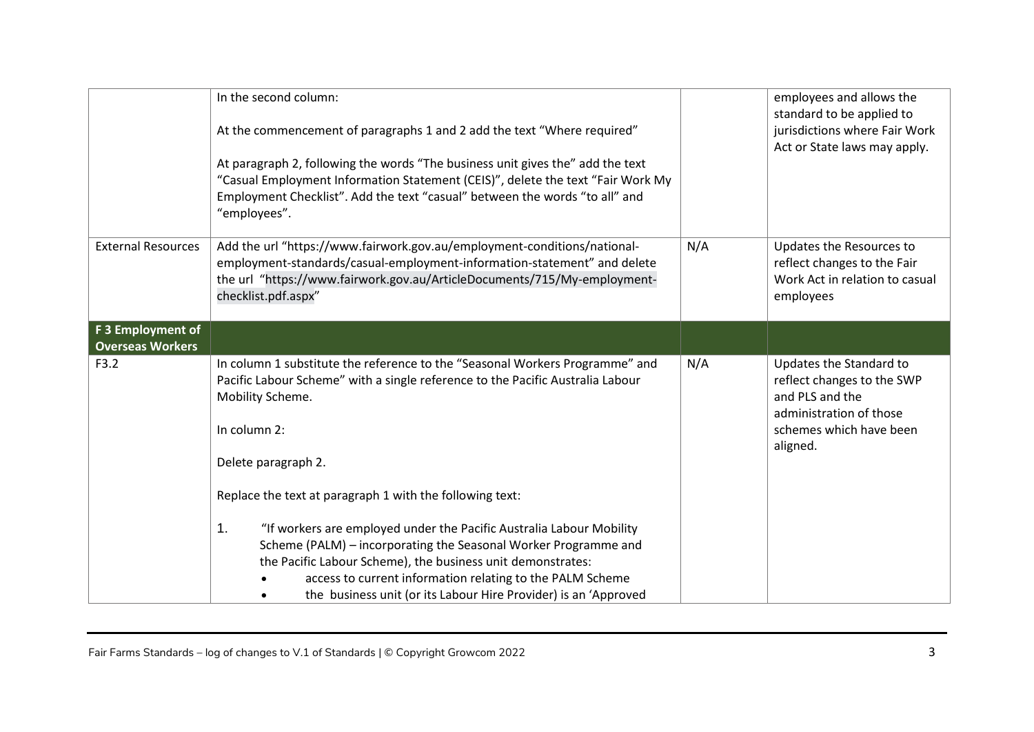|                                              | In the second column:<br>At the commencement of paragraphs 1 and 2 add the text "Where required"<br>At paragraph 2, following the words "The business unit gives the" add the text<br>"Casual Employment Information Statement (CEIS)", delete the text "Fair Work My<br>Employment Checklist". Add the text "casual" between the words "to all" and<br>"employees". |     | employees and allows the<br>standard to be applied to<br>jurisdictions where Fair Work<br>Act or State laws may apply.                     |
|----------------------------------------------|----------------------------------------------------------------------------------------------------------------------------------------------------------------------------------------------------------------------------------------------------------------------------------------------------------------------------------------------------------------------|-----|--------------------------------------------------------------------------------------------------------------------------------------------|
| <b>External Resources</b>                    | Add the url "https://www.fairwork.gov.au/employment-conditions/national-<br>employment-standards/casual-employment-information-statement" and delete<br>the url "https://www.fairwork.gov.au/ArticleDocuments/715/My-employment-<br>checklist.pdf.aspx"                                                                                                              | N/A | Updates the Resources to<br>reflect changes to the Fair<br>Work Act in relation to casual<br>employees                                     |
| F 3 Employment of<br><b>Overseas Workers</b> |                                                                                                                                                                                                                                                                                                                                                                      |     |                                                                                                                                            |
| F3.2                                         | In column 1 substitute the reference to the "Seasonal Workers Programme" and<br>Pacific Labour Scheme" with a single reference to the Pacific Australia Labour<br>Mobility Scheme.<br>In column 2:<br>Delete paragraph 2.<br>Replace the text at paragraph 1 with the following text:<br>1.<br>"If workers are employed under the Pacific Australia Labour Mobility  | N/A | Updates the Standard to<br>reflect changes to the SWP<br>and PLS and the<br>administration of those<br>schemes which have been<br>aligned. |
|                                              | Scheme (PALM) - incorporating the Seasonal Worker Programme and<br>the Pacific Labour Scheme), the business unit demonstrates:<br>access to current information relating to the PALM Scheme<br>the business unit (or its Labour Hire Provider) is an 'Approved                                                                                                       |     |                                                                                                                                            |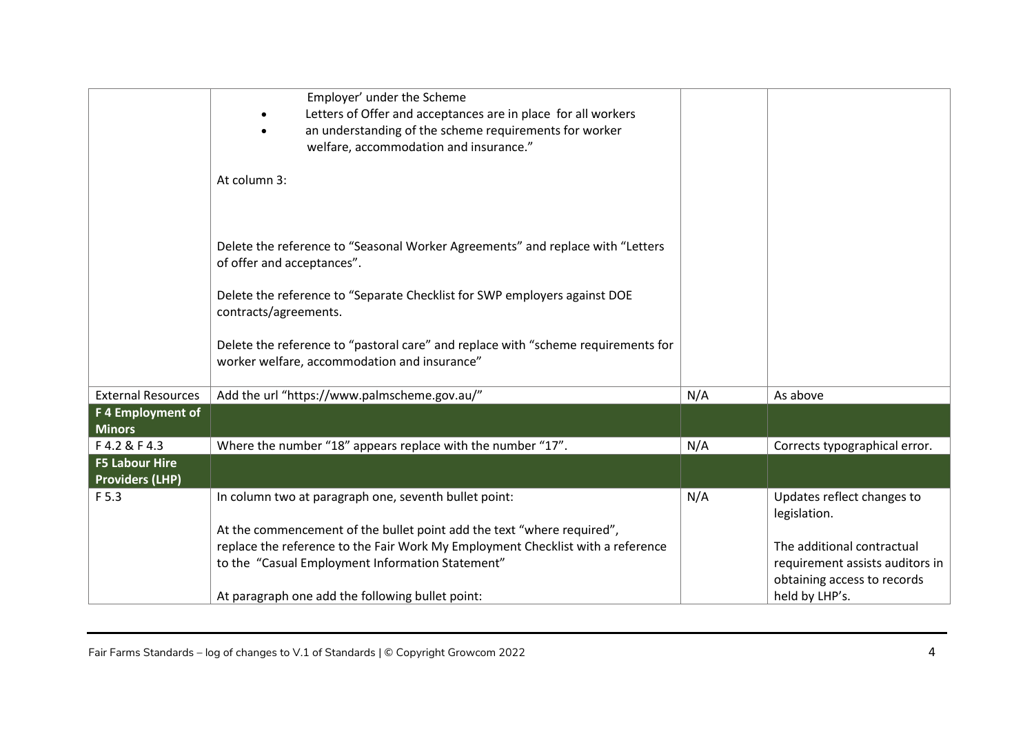|                                                 | Employer' under the Scheme<br>Letters of Offer and acceptances are in place for all workers<br>an understanding of the scheme requirements for worker<br>welfare, accommodation and insurance." |     |                                                                |
|-------------------------------------------------|-------------------------------------------------------------------------------------------------------------------------------------------------------------------------------------------------|-----|----------------------------------------------------------------|
|                                                 | At column 3:                                                                                                                                                                                    |     |                                                                |
|                                                 | Delete the reference to "Seasonal Worker Agreements" and replace with "Letters<br>of offer and acceptances".                                                                                    |     |                                                                |
|                                                 | Delete the reference to "Separate Checklist for SWP employers against DOE<br>contracts/agreements.                                                                                              |     |                                                                |
|                                                 | Delete the reference to "pastoral care" and replace with "scheme requirements for<br>worker welfare, accommodation and insurance"                                                               |     |                                                                |
| <b>External Resources</b>                       | Add the url "https://www.palmscheme.gov.au/"                                                                                                                                                    | N/A | As above                                                       |
| F 4 Employment of<br><b>Minors</b>              |                                                                                                                                                                                                 |     |                                                                |
| F4.2 & F4.3                                     | Where the number "18" appears replace with the number "17".                                                                                                                                     | N/A | Corrects typographical error.                                  |
| <b>F5 Labour Hire</b><br><b>Providers (LHP)</b> |                                                                                                                                                                                                 |     |                                                                |
| F 5.3                                           | In column two at paragraph one, seventh bullet point:                                                                                                                                           | N/A | Updates reflect changes to<br>legislation.                     |
|                                                 | At the commencement of the bullet point add the text "where required",                                                                                                                          |     |                                                                |
|                                                 | replace the reference to the Fair Work My Employment Checklist with a reference                                                                                                                 |     | The additional contractual                                     |
|                                                 | to the "Casual Employment Information Statement"                                                                                                                                                |     | requirement assists auditors in<br>obtaining access to records |
|                                                 | At paragraph one add the following bullet point:                                                                                                                                                |     | held by LHP's.                                                 |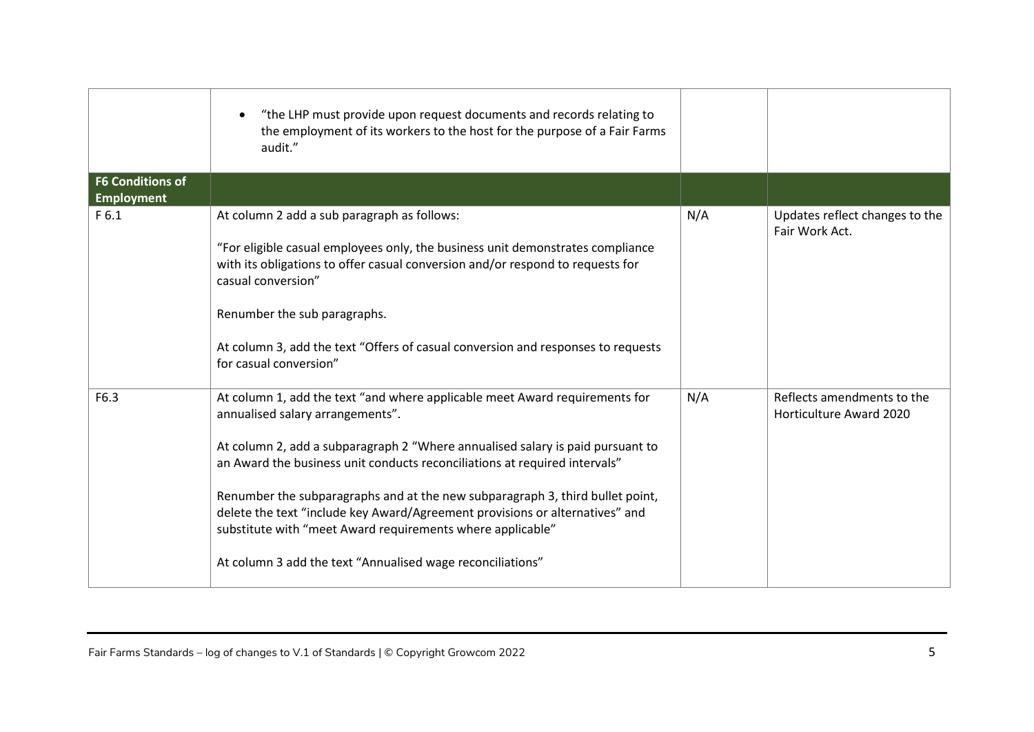|                                              | "the LHP must provide upon request documents and records relating to<br>the employment of its workers to the host for the purpose of a Fair Farms<br>audit."                                                                                                                                                                                                                                                                                                                                                                                                                 |     |                                                              |
|----------------------------------------------|------------------------------------------------------------------------------------------------------------------------------------------------------------------------------------------------------------------------------------------------------------------------------------------------------------------------------------------------------------------------------------------------------------------------------------------------------------------------------------------------------------------------------------------------------------------------------|-----|--------------------------------------------------------------|
| <b>F6 Conditions of</b><br><b>Employment</b> |                                                                                                                                                                                                                                                                                                                                                                                                                                                                                                                                                                              |     |                                                              |
| F <sub>6.1</sub>                             | At column 2 add a sub paragraph as follows:<br>"For eligible casual employees only, the business unit demonstrates compliance<br>with its obligations to offer casual conversion and/or respond to requests for<br>casual conversion"<br>Renumber the sub paragraphs.<br>At column 3, add the text "Offers of casual conversion and responses to requests<br>for casual conversion"                                                                                                                                                                                          | N/A | Updates reflect changes to the<br>Fair Work Act.             |
| F6.3                                         | At column 1, add the text "and where applicable meet Award requirements for<br>annualised salary arrangements".<br>At column 2, add a subparagraph 2 "Where annualised salary is paid pursuant to<br>an Award the business unit conducts reconciliations at required intervals"<br>Renumber the subparagraphs and at the new subparagraph 3, third bullet point,<br>delete the text "include key Award/Agreement provisions or alternatives" and<br>substitute with "meet Award requirements where applicable"<br>At column 3 add the text "Annualised wage reconciliations" | N/A | Reflects amendments to the<br><b>Horticulture Award 2020</b> |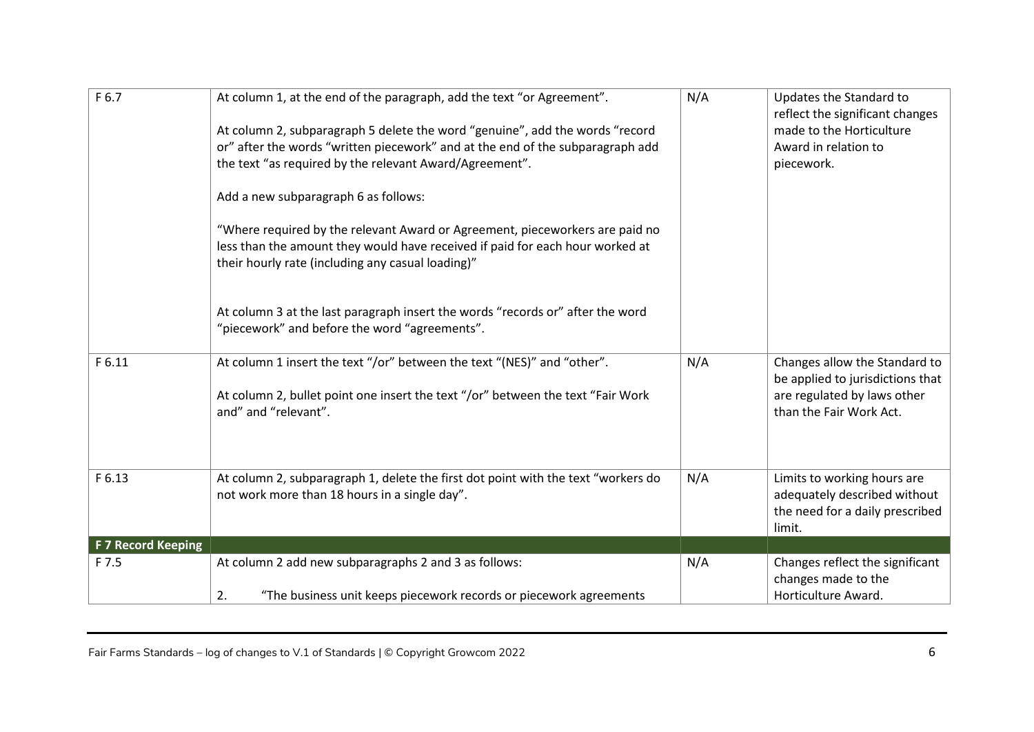| F 6.7              | At column 1, at the end of the paragraph, add the text "or Agreement".<br>At column 2, subparagraph 5 delete the word "genuine", add the words "record<br>or" after the words "written piecework" and at the end of the subparagraph add<br>the text "as required by the relevant Award/Agreement".<br>Add a new subparagraph 6 as follows:           | N/A | Updates the Standard to<br>reflect the significant changes<br>made to the Horticulture<br>Award in relation to<br>piecework. |
|--------------------|-------------------------------------------------------------------------------------------------------------------------------------------------------------------------------------------------------------------------------------------------------------------------------------------------------------------------------------------------------|-----|------------------------------------------------------------------------------------------------------------------------------|
|                    | "Where required by the relevant Award or Agreement, pieceworkers are paid no<br>less than the amount they would have received if paid for each hour worked at<br>their hourly rate (including any casual loading)"<br>At column 3 at the last paragraph insert the words "records or" after the word<br>"piecework" and before the word "agreements". |     |                                                                                                                              |
| F 6.11             | At column 1 insert the text "/or" between the text "(NES)" and "other".<br>At column 2, bullet point one insert the text "/or" between the text "Fair Work<br>and" and "relevant".                                                                                                                                                                    | N/A | Changes allow the Standard to<br>be applied to jurisdictions that<br>are regulated by laws other<br>than the Fair Work Act.  |
| F 6.13             | At column 2, subparagraph 1, delete the first dot point with the text "workers do<br>not work more than 18 hours in a single day".                                                                                                                                                                                                                    | N/A | Limits to working hours are<br>adequately described without<br>the need for a daily prescribed<br>limit.                     |
| F 7 Record Keeping |                                                                                                                                                                                                                                                                                                                                                       |     |                                                                                                                              |
| F 7.5              | At column 2 add new subparagraphs 2 and 3 as follows:<br>"The business unit keeps piecework records or piecework agreements<br>2.                                                                                                                                                                                                                     | N/A | Changes reflect the significant<br>changes made to the<br>Horticulture Award.                                                |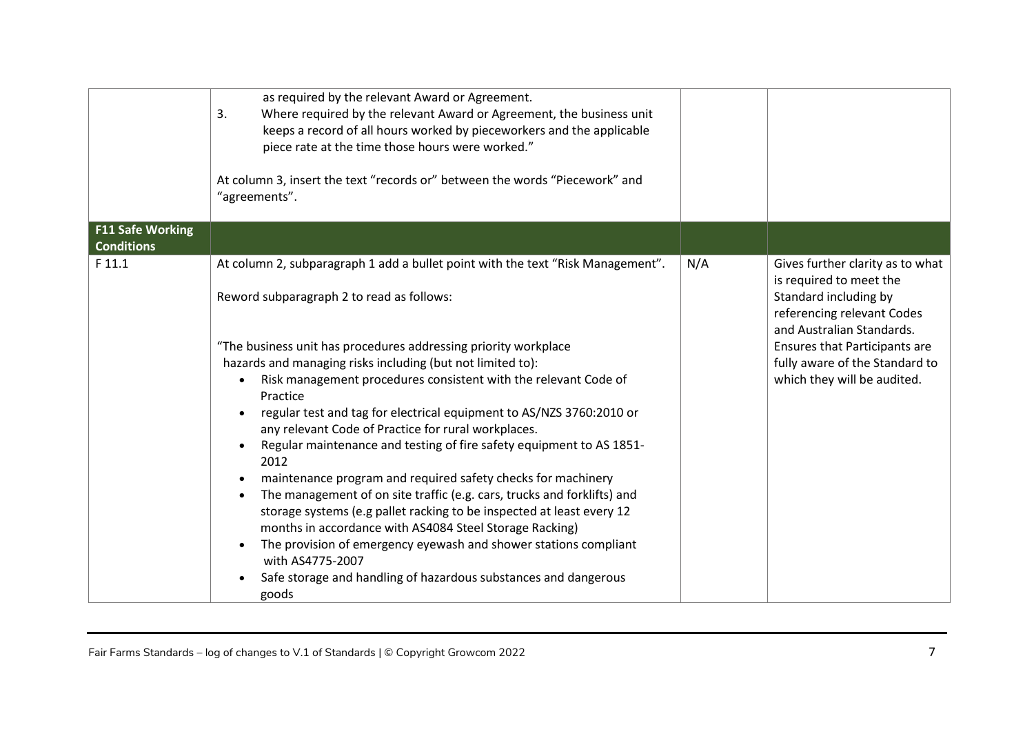|                                              | as required by the relevant Award or Agreement.<br>3.<br>Where required by the relevant Award or Agreement, the business unit<br>keeps a record of all hours worked by pieceworkers and the applicable<br>piece rate at the time those hours were worked."<br>At column 3, insert the text "records or" between the words "Piecework" and<br>"agreements".                                                                                                                                                                                                                                                                                                                                                                                                                                                                                                                                                                                                                                                     |     |                                                                                                                                                                                                                                                   |
|----------------------------------------------|----------------------------------------------------------------------------------------------------------------------------------------------------------------------------------------------------------------------------------------------------------------------------------------------------------------------------------------------------------------------------------------------------------------------------------------------------------------------------------------------------------------------------------------------------------------------------------------------------------------------------------------------------------------------------------------------------------------------------------------------------------------------------------------------------------------------------------------------------------------------------------------------------------------------------------------------------------------------------------------------------------------|-----|---------------------------------------------------------------------------------------------------------------------------------------------------------------------------------------------------------------------------------------------------|
| <b>F11 Safe Working</b><br><b>Conditions</b> |                                                                                                                                                                                                                                                                                                                                                                                                                                                                                                                                                                                                                                                                                                                                                                                                                                                                                                                                                                                                                |     |                                                                                                                                                                                                                                                   |
| F 11.1                                       | At column 2, subparagraph 1 add a bullet point with the text "Risk Management".<br>Reword subparagraph 2 to read as follows:<br>"The business unit has procedures addressing priority workplace<br>hazards and managing risks including (but not limited to):<br>Risk management procedures consistent with the relevant Code of<br>Practice<br>regular test and tag for electrical equipment to AS/NZS 3760:2010 or<br>any relevant Code of Practice for rural workplaces.<br>Regular maintenance and testing of fire safety equipment to AS 1851-<br>2012<br>maintenance program and required safety checks for machinery<br>The management of on site traffic (e.g. cars, trucks and forklifts) and<br>storage systems (e.g pallet racking to be inspected at least every 12<br>months in accordance with AS4084 Steel Storage Racking)<br>The provision of emergency eyewash and shower stations compliant<br>with AS4775-2007<br>Safe storage and handling of hazardous substances and dangerous<br>goods | N/A | Gives further clarity as to what<br>is required to meet the<br>Standard including by<br>referencing relevant Codes<br>and Australian Standards.<br>Ensures that Participants are<br>fully aware of the Standard to<br>which they will be audited. |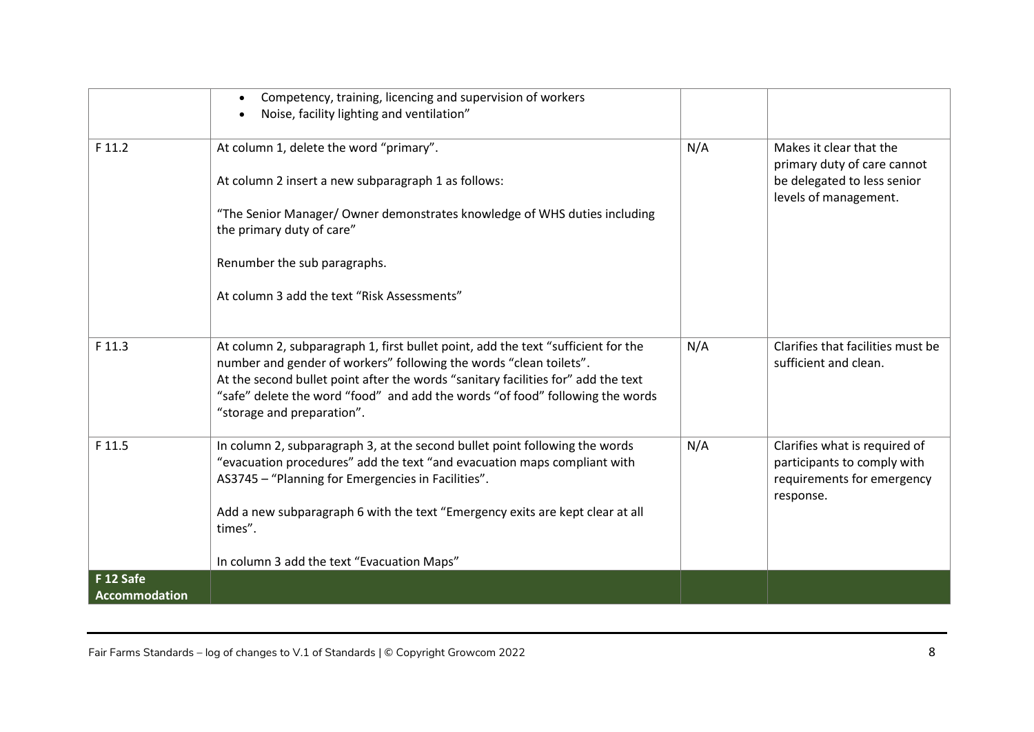|                            | Competency, training, licencing and supervision of workers<br>$\bullet$<br>Noise, facility lighting and ventilation"                                                                                                                                                                                                                                        |     |                                                                                                                |
|----------------------------|-------------------------------------------------------------------------------------------------------------------------------------------------------------------------------------------------------------------------------------------------------------------------------------------------------------------------------------------------------------|-----|----------------------------------------------------------------------------------------------------------------|
| F 11.2                     | At column 1, delete the word "primary".<br>At column 2 insert a new subparagraph 1 as follows:                                                                                                                                                                                                                                                              | N/A | Makes it clear that the<br>primary duty of care cannot<br>be delegated to less senior<br>levels of management. |
|                            | "The Senior Manager/ Owner demonstrates knowledge of WHS duties including<br>the primary duty of care"                                                                                                                                                                                                                                                      |     |                                                                                                                |
|                            | Renumber the sub paragraphs.                                                                                                                                                                                                                                                                                                                                |     |                                                                                                                |
|                            | At column 3 add the text "Risk Assessments"                                                                                                                                                                                                                                                                                                                 |     |                                                                                                                |
| F 11.3                     | At column 2, subparagraph 1, first bullet point, add the text "sufficient for the<br>number and gender of workers" following the words "clean toilets".<br>At the second bullet point after the words "sanitary facilities for" add the text<br>"safe" delete the word "food" and add the words "of food" following the words<br>"storage and preparation". | N/A | Clarifies that facilities must be<br>sufficient and clean.                                                     |
| F 11.5                     | In column 2, subparagraph 3, at the second bullet point following the words<br>"evacuation procedures" add the text "and evacuation maps compliant with<br>AS3745 - "Planning for Emergencies in Facilities".<br>Add a new subparagraph 6 with the text "Emergency exits are kept clear at all                                                              | N/A | Clarifies what is required of<br>participants to comply with<br>requirements for emergency<br>response.        |
|                            | times".                                                                                                                                                                                                                                                                                                                                                     |     |                                                                                                                |
|                            | In column 3 add the text "Evacuation Maps"                                                                                                                                                                                                                                                                                                                  |     |                                                                                                                |
| F 12 Safe<br>Accommodation |                                                                                                                                                                                                                                                                                                                                                             |     |                                                                                                                |